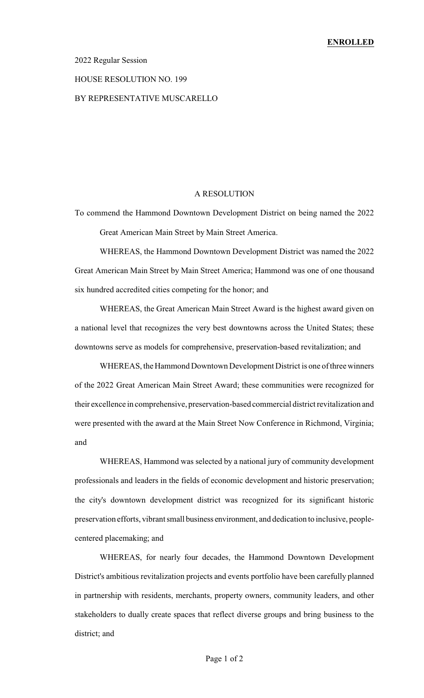### 2022 Regular Session

## HOUSE RESOLUTION NO. 199

## BY REPRESENTATIVE MUSCARELLO

### A RESOLUTION

To commend the Hammond Downtown Development District on being named the 2022 Great American Main Street by Main Street America.

WHEREAS, the Hammond Downtown Development District was named the 2022 Great American Main Street by Main Street America; Hammond was one of one thousand six hundred accredited cities competing for the honor; and

WHEREAS, the Great American Main Street Award is the highest award given on a national level that recognizes the very best downtowns across the United States; these downtowns serve as models for comprehensive, preservation-based revitalization; and

WHEREAS, the Hammond Downtown Development District is one of three winners of the 2022 Great American Main Street Award; these communities were recognized for their excellence in comprehensive, preservation-based commercial district revitalization and were presented with the award at the Main Street Now Conference in Richmond, Virginia; and

WHEREAS, Hammond was selected by a national jury of community development professionals and leaders in the fields of economic development and historic preservation; the city's downtown development district was recognized for its significant historic preservation efforts, vibrant small business environment, and dedication to inclusive, peoplecentered placemaking; and

WHEREAS, for nearly four decades, the Hammond Downtown Development District's ambitious revitalization projects and events portfolio have been carefully planned in partnership with residents, merchants, property owners, community leaders, and other stakeholders to dually create spaces that reflect diverse groups and bring business to the district; and